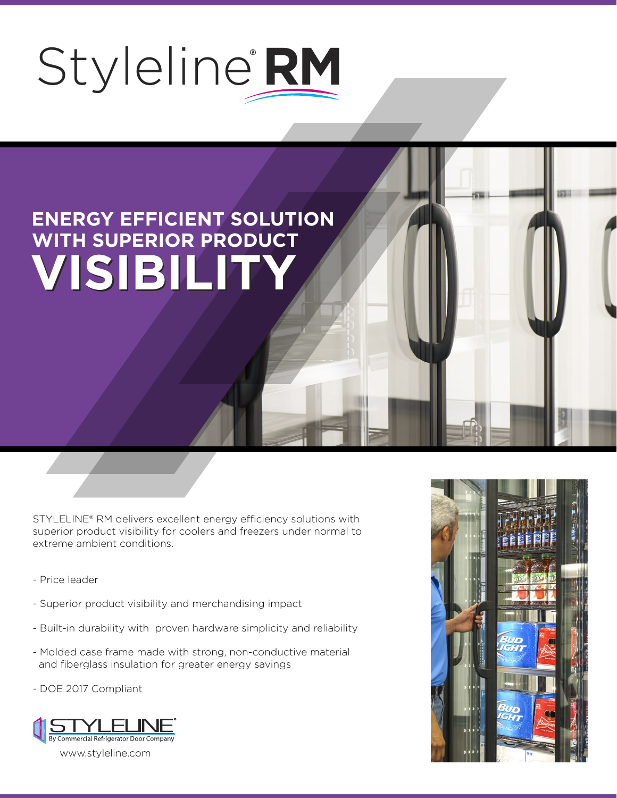## Styleline **RM**

## **ENERGY EFFICIENT SOLUTION WITH SUPERIOR PRODUCT VISIBILITY VISIBILITY**

STYLELINE® RM delivers excellent energy efficiency solutions with superior product visibility for coolers and freezers under normal to extreme ambient conditions.

- Price leader
- Superior product visibility and merchandising impact
- Built-in durability with proven hardware simplicity and reliability
- Molded case frame made with strong, non-conductive material and fiberglass insulation for greater energy savings
- DOE 2017 Compliant